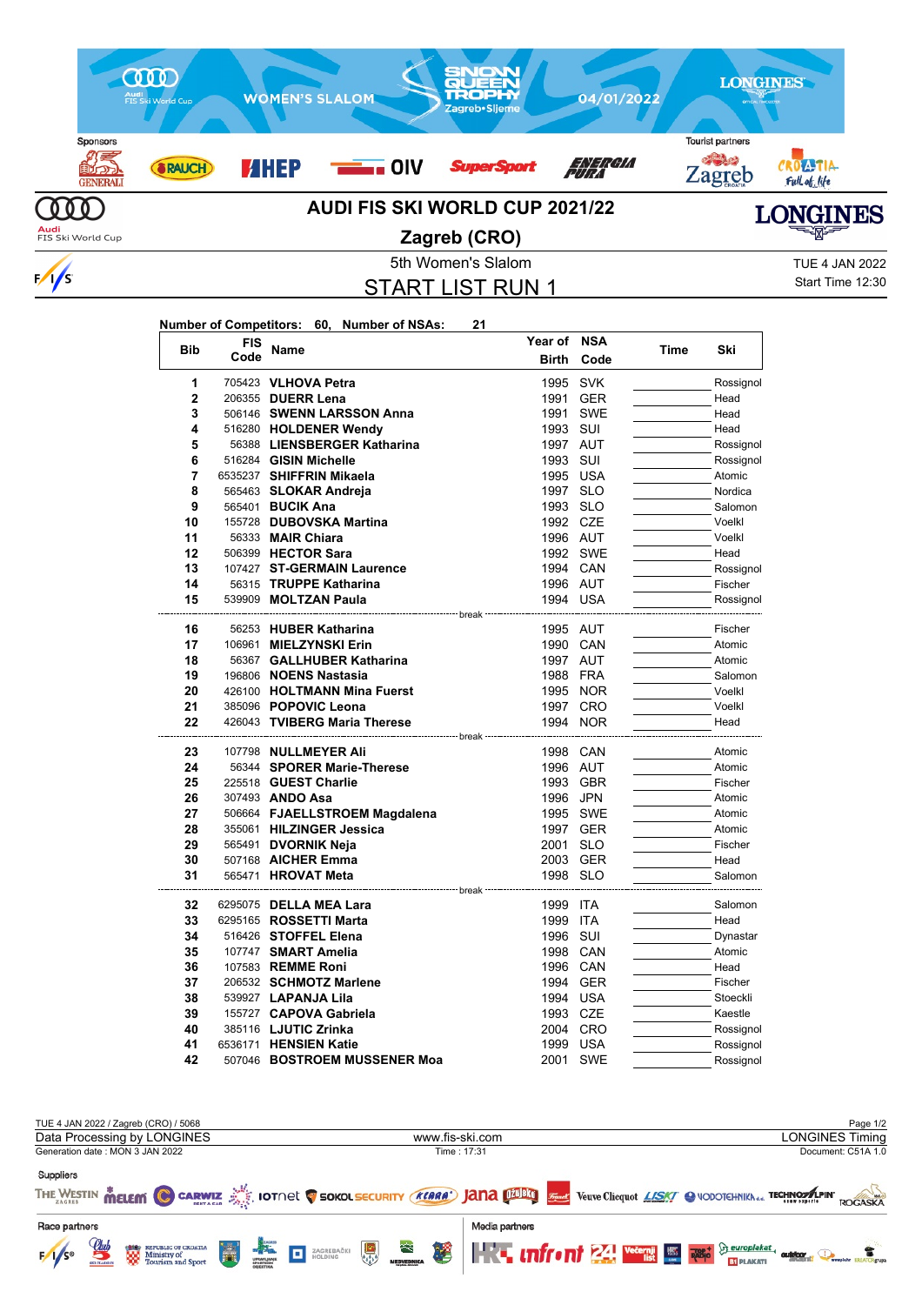

 $\frac{1}{s}$ 

## START LIST RUN 1

Start Time 12:30

| <b>Bib</b>     | <b>FIS</b> |                                                                                      | Year of      | <b>NSA</b> |      | Ski       |
|----------------|------------|--------------------------------------------------------------------------------------|--------------|------------|------|-----------|
|                | Code       | Name                                                                                 | <b>Birth</b> | Code       | Time |           |
| 1              |            | 705423 VLHOVA Petra                                                                  | 1995         | <b>SVK</b> |      | Rossignol |
| $\overline{2}$ |            | 206355 DUERR Lena                                                                    | 1991         | <b>GER</b> |      | Head      |
| 3              |            | 506146 SWENN LARSSON Anna                                                            | 1991         | <b>SWE</b> |      | Head      |
| 4              |            | 516280 HOLDENER Wendy                                                                | 1993         | SUI        |      | Head      |
| 5              |            | 56388 LIENSBERGER Katharina                                                          | 1997 AUT     |            |      | Rossignol |
| 6              |            | 516284 GISIN Michelle                                                                | 1993 SUI     |            |      | Rossignol |
| $\overline{7}$ |            | 6535237 SHIFFRIN Mikaela                                                             | 1995 USA     |            |      | Atomic    |
| 8              |            | 565463 SLOKAR Andreja                                                                | 1997 SLO     |            |      | Nordica   |
| 9              |            | 565401 BUCIK Ana                                                                     | 1993 SLO     |            |      | Salomon   |
| 10             |            | 155728 DUBOVSKA Martina                                                              | 1992 CZE     |            |      | Voelkl    |
| 11             |            | 56333 <b>MAIR Chiara</b>                                                             | 1996 AUT     |            |      | Voelkl    |
| 12             |            | 506399 HECTOR Sara                                                                   |              | 1992 SWE   |      | Head      |
| 13             |            | 107427 ST-GERMAIN Laurence                                                           | 1994 CAN     |            |      | Rossignol |
| 14             |            | 56315 TRUPPE Katharina                                                               | 1996 AUT     |            |      | Fischer   |
| 15             |            | 539909 MOLTZAN Paula                                                                 | 1994 USA     |            |      | Rossignol |
|                |            |                                                                                      |              |            |      |           |
| 16             |            | 56253 HUBER Katharina                                                                | 1995 AUT     |            |      | Fischer   |
| 17             |            | 106961 MIELZYNSKI Erin                                                               | 1990 CAN     |            |      | Atomic    |
| 18             |            | 56367 GALLHUBER Katharina                                                            | 1997 AUT     |            |      | Atomic    |
| 19             |            | 196806 NOENS Nastasia                                                                | 1988 FRA     |            |      | Salomon   |
| 20             |            | 426100 HOLTMANN Mina Fuerst                                                          |              | 1995 NOR   |      | Voelkl    |
| 21             |            | 385096 POPOVIC Leona                                                                 |              | 1997 CRO   |      | Voelkl    |
| 22             |            | 426043 TVIBERG Maria Therese<br>----------------------------- break ---------------- |              | 1994 NOR   |      | Head      |
| 23             |            | 107798 NULLMEYER Ali                                                                 | 1998 CAN     |            |      | Atomic    |
| 24             |            | 56344 SPORER Marie-Therese                                                           | 1996 AUT     |            |      | Atomic    |
| 25             |            | 225518 GUEST Charlie                                                                 | 1993         | <b>GBR</b> |      | Fischer   |
| 26             |            | 307493 ANDO Asa                                                                      | 1996         | <b>JPN</b> |      | Atomic    |
| 27             |            | 506664 FJAELLSTROEM Magdalena                                                        |              | 1995 SWE   |      | Atomic    |
| 28             |            | 355061 HILZINGER Jessica                                                             |              | 1997 GER   |      | Atomic    |
| 29             |            | 565491 DVORNIK Neja                                                                  | 2001 SLO     |            |      | Fischer   |
| 30             |            | 507168 AICHER Emma                                                                   | 2003 GER     |            |      | Head      |
| 31             |            | 565471 <b>HROVAT Meta</b>                                                            | 1998 SLO     |            |      | Salomon   |
|                |            |                                                                                      |              |            |      |           |
| 32             |            | 6295075 DELLA MEA Lara                                                               | 1999 ITA     |            |      | Salomon   |
| 33             |            | 6295165 ROSSETTI Marta                                                               | 1999         | <b>ITA</b> |      | Head      |
| 34             |            | 516426 STOFFEL Elena                                                                 | 1996         | SUI        |      | Dynastar  |
| 35             |            | 107747 SMART Amelia                                                                  | 1998 CAN     |            |      | Atomic    |
| 36             |            | 107583 REMME Roni                                                                    | 1996 CAN     |            |      | Head      |
| 37             |            | 206532 SCHMOTZ Marlene                                                               |              | 1994 GER   |      | Fischer   |
| 38             |            | 539927 LAPANJA Lila                                                                  | 1994 USA     |            |      | Stoeckli  |
| 39             |            | 155727 CAPOVA Gabriela                                                               | 1993 CZE     |            |      | Kaestle   |
| 40             |            | 385116 LJUTIC Zrinka                                                                 |              | 2004 CRO   |      | Rossignol |
| 41             |            | 6536171 HENSIEN Katie                                                                | 1999         | <b>USA</b> |      | Rossignol |
| 42             |            | 507046 BOSTROEM MUSSENER Moa                                                         | 2001         | <b>SWE</b> |      | Rossignol |

| TUE 4 JAN 2022 / Zagreb (CRO) / 5068                                                          |                                                                                                                                   | Page 1/2                                                                                                                                                                       |  |  |
|-----------------------------------------------------------------------------------------------|-----------------------------------------------------------------------------------------------------------------------------------|--------------------------------------------------------------------------------------------------------------------------------------------------------------------------------|--|--|
| Data Processing by LONGINES                                                                   | www.fis-ski.com                                                                                                                   | <b>LONGINES Timing</b>                                                                                                                                                         |  |  |
| Generation date: MON 3 JAN 2022                                                               | Time: 17:31                                                                                                                       | Document: C51A 1.0                                                                                                                                                             |  |  |
| <b>Suppliers</b>                                                                              | THE WESTIN MELEM C CARWIZ AND IOTNEL C SOKOL SECURITY (KEARA') JANA DIDED STARE Veuve Clicquot LASKY @ VODOTCHNIKA & TECHNOSALPIN | ROGASKA                                                                                                                                                                        |  |  |
| Race partners<br>$\mathcal{Q}_{ab}$<br>H<br><b>END</b> REPUBLIC OF CROATIA<br>$F/1/S^{\circ}$ | Media partners<br>$\frac{1}{\sqrt{2}}$<br>ざ<br>$\mathbf{R}$<br>堡<br>ZAGREBAČKI                                                    | <b>The university of the CALL Wedge Lines and Superior Determination of the CALL AND THE CONSUMING THE CALL AND THE CALL AND THE PLANCATED</b><br>outdoor<br><b>BT PLAKATI</b> |  |  |